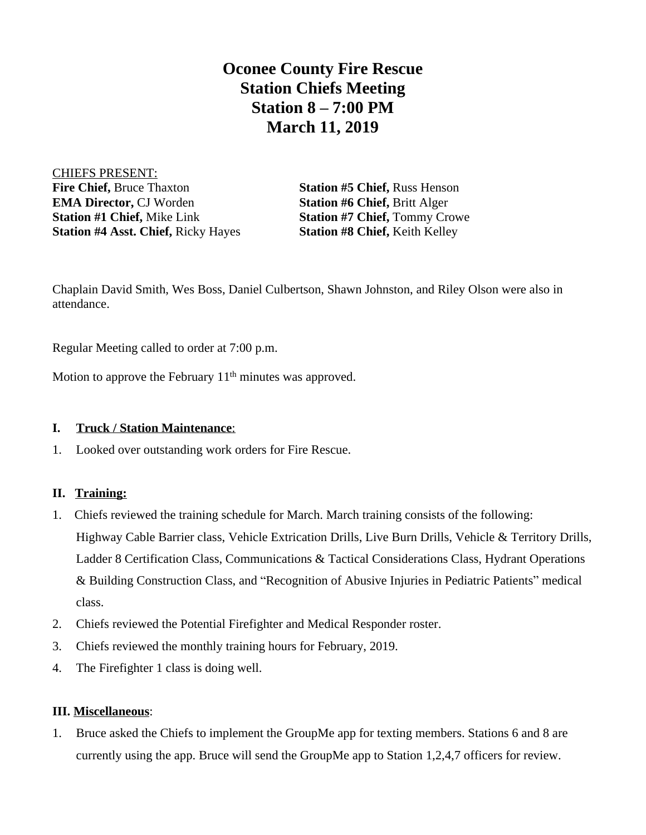## **Oconee County Fire Rescue Station Chiefs Meeting Station 8 – 7:00 PM March 11, 2019**

CHIEFS PRESENT: **Fire Chief, Bruce Thaxton Station #5 Chief, Russ Henson EMA Director, CJ Worden Station #6 Chief, Britt Alger Station #1 Chief,** Mike Link **Station #7 Chief,** Tommy Crowe **Station #4 Asst. Chief,** Ricky Hayes **Station #8 Chief,** Keith Kelley

Chaplain David Smith, Wes Boss, Daniel Culbertson, Shawn Johnston, and Riley Olson were also in attendance.

Regular Meeting called to order at 7:00 p.m.

Motion to approve the February 11<sup>th</sup> minutes was approved.

## **I. Truck / Station Maintenance**:

1. Looked over outstanding work orders for Fire Rescue.

## **II. Training:**

- 1. Chiefs reviewed the training schedule for March. March training consists of the following: Highway Cable Barrier class, Vehicle Extrication Drills, Live Burn Drills, Vehicle & Territory Drills, Ladder 8 Certification Class, Communications & Tactical Considerations Class, Hydrant Operations & Building Construction Class, and "Recognition of Abusive Injuries in Pediatric Patients" medical class.
- 2. Chiefs reviewed the Potential Firefighter and Medical Responder roster.
- 3. Chiefs reviewed the monthly training hours for February, 2019.
- 4. The Firefighter 1 class is doing well.

## **III. Miscellaneous**:

1. Bruce asked the Chiefs to implement the GroupMe app for texting members. Stations 6 and 8 are currently using the app. Bruce will send the GroupMe app to Station 1,2,4,7 officers for review.